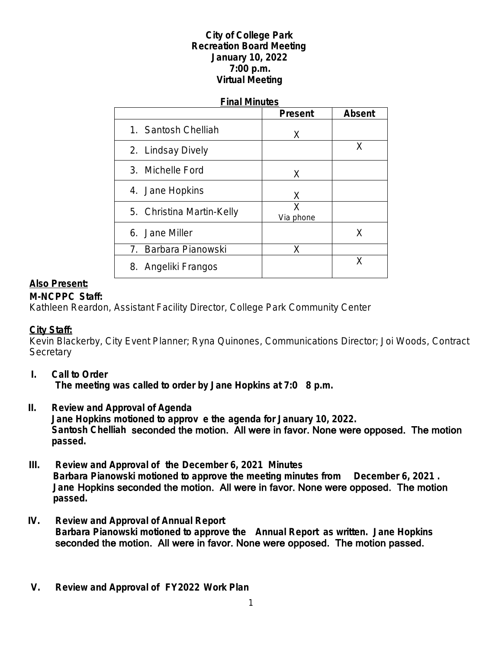# **City of College Park Recreation Board Meeting January 10, 2022 7:00 p.m. Virtual Meeting**

#### **Final Minutes**

|                           | <b>Present</b> | <b>Absent</b> |
|---------------------------|----------------|---------------|
| 1. Santosh Chelliah       | X              |               |
| 2. Lindsay Dively         |                | Χ             |
| 3. Michelle Ford          | X              |               |
| 4. Jane Hopkins           | X              |               |
| 5. Christina Martin-Kelly | Χ<br>Via phone |               |
| 6. Jane Miller            |                | X             |
| 7. Barbara Pianowski      | X              |               |
| 8. Angeliki Frangos       |                | x             |

# **Also Present:**

# **M-NCPPC Staff:**

Kathleen Reardon, Assistant Facility Director, College Park Community Center

#### **City Staff:**

Kevin Blackerby, City Event Planner; Ryna Quinones, Communications Director; Joi Woods, Contract **Secretary** 

- **I. Call to Order The meeting was called to order by Jane Hopkins at 7:0 8 p.m.**
- **II. Review and Approval of Agenda Jane Hopkins motioned to approv e the agenda for January 10, 2022. Santosh Chelliah** seconded the motion. All were in favor. None were opposed. The motion **passed.**
- **III. Review and Approval of the December 6, 2021 Minutes Barbara Pianowski motioned to approve the meeting minutes from December 6, 2021 . Jane** Hopkins seconded the motion. All were in favor. None were opposed. The motion  **passed.**
- **IV. Review and Approval of Annual Report Barbara Pianowski motioned to approve the Annual Report as written. Jane Hopkins**  seconded the motion. All were in favor. None were opposed. The motion passed.
- **V. Review and Approval of FY2022 Work Plan**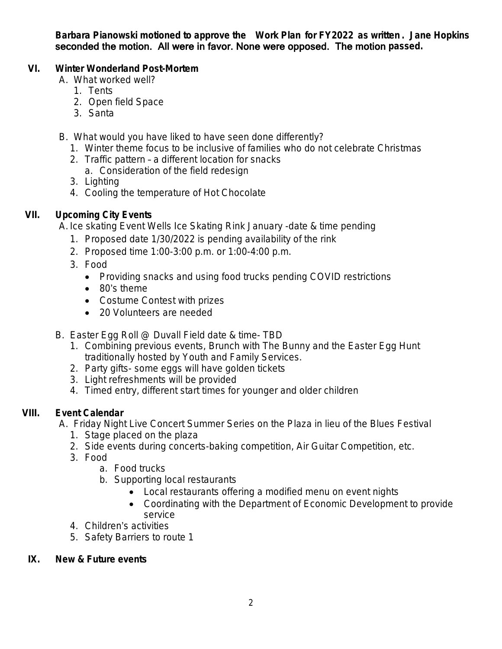**Barbara Pianowski motioned to approve the Work Plan for FY2022 as written . Jane Hopkins** seconded the motion. All were in favor. None were opposed. The motion **passed.**

# **VI. Winter Wonderland Post-Mortem**

- A. What worked well?
	- 1. Tents
	- 2. Open field Space
	- 3. Santa
- B. What would you have liked to have seen done differently?
	- 1. Winter theme focus to be inclusive of families who do not celebrate Christmas
	- 2. Traffic pattern a different location for snacks a. Consideration of the field redesign
	- 3. Lighting
	- 4. Cooling the temperature of Hot Chocolate

# **VII. Upcoming City Events**

A. Ice skating Event Wells Ice Skating Rink January -date & time pending

- 1. Proposed date 1/30/2022 is pending availability of the rink
- 2. Proposed time 1:00-3:00 p.m. or 1:00-4:00 p.m.
- 3. Food
	- Providing snacks and using food trucks pending COVID restrictions
	- 80's theme
	- Costume Contest with prizes
	- 20 Volunteers are needed
- B. Easter Egg Roll @ Duvall Field date & time- TBD
	- 1. Combining previous events, Brunch with The Bunny and the Easter Egg Hunt traditionally hosted by Youth and Family Services.
	- 2. Party gifts- some eggs will have golden tickets
	- 3. Light refreshments will be provided
	- 4. Timed entry, different start times for younger and older children

# **VIII. Event Calendar**

A. Friday Night Live Concert Summer Series on the Plaza in lieu of the Blues Festival

- 1. Stage placed on the plaza
- 2. Side events during concerts-baking competition, Air Guitar Competition, etc.
- 3. Food
	- a. Food trucks
	- b. Supporting local restaurants
		- Local restaurants offering a modified menu on event nights
		- Coordinating with the Department of Economic Development to provide service
- 4. Children's activities
- 5. Safety Barriers to route 1
- **IX. New & Future events**